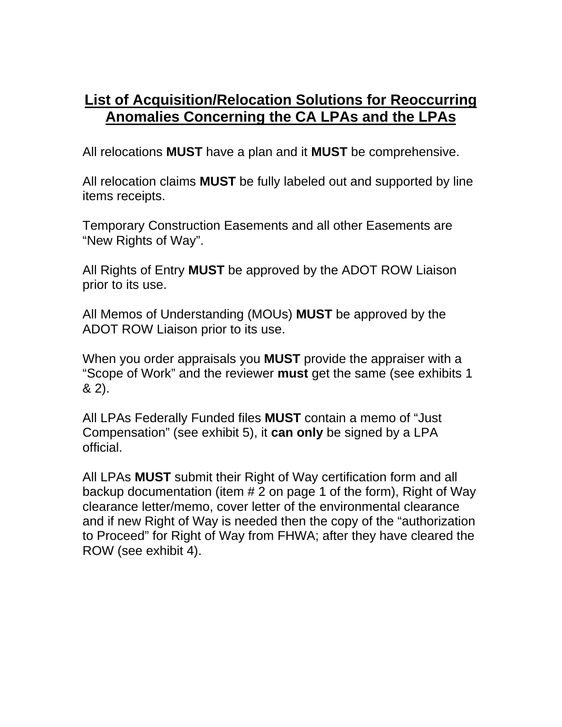## **List of Acquisition/Relocation Solutions for Reoccurring Anomalies Concerning the CA LPAs and the LPAs**

All relocations **MUST** have a plan and it **MUST** be comprehensive.

All relocation claims **MUST** be fully labeled out and supported by line items receipts.

Temporary Construction Easements and all other Easements are "New Rights of Way".

All Rights of Entry **MUST** be approved by the ADOT ROW Liaison prior to its use.

All Memos of Understanding (MOUs) **MUST** be approved by the ADOT ROW Liaison prior to its use.

When you order appraisals you **MUST** provide the appraiser with a "Scope of Work" and the reviewer **must** get the same (see exhibits 1 & 2).

All LPAs Federally Funded files **MUST** contain a memo of "Just Compensation" (see exhibit 5), it **can only** be signed by a LPA official.

All LPAs **MUST** submit their Right of Way certification form and all backup documentation (item # 2 on page 1 of the form), Right of Way clearance letter/memo, cover letter of the environmental clearance and if new Right of Way is needed then the copy of the "authorization to Proceed" for Right of Way from FHWA; after they have cleared the ROW (see exhibit 4).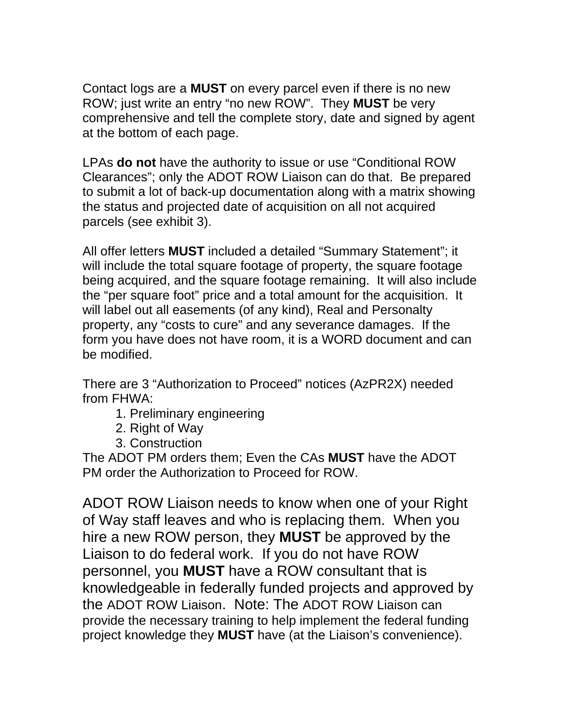Contact logs are a **MUST** on every parcel even if there is no new ROW; just write an entry "no new ROW". They **MUST** be very comprehensive and tell the complete story, date and signed by agent at the bottom of each page.

LPAs **do not** have the authority to issue or use "Conditional ROW Clearances"; only the ADOT ROW Liaison can do that. Be prepared to submit a lot of back-up documentation along with a matrix showing the status and projected date of acquisition on all not acquired parcels (see exhibit 3).

All offer letters **MUST** included a detailed "Summary Statement"; it will include the total square footage of property, the square footage being acquired, and the square footage remaining. It will also include the "per square foot" price and a total amount for the acquisition. It will label out all easements (of any kind), Real and Personalty property, any "costs to cure" and any severance damages. If the form you have does not have room, it is a WORD document and can be modified.

There are 3 "Authorization to Proceed" notices (AzPR2X) needed from FHWA:

- 1. Preliminary engineering
- 2. Right of Way
- 3. Construction

The ADOT PM orders them; Even the CAs **MUST** have the ADOT PM order the Authorization to Proceed for ROW.

ADOT ROW Liaison needs to know when one of your Right of Way staff leaves and who is replacing them. When you hire a new ROW person, they **MUST** be approved by the Liaison to do federal work. If you do not have ROW personnel, you **MUST** have a ROW consultant that is knowledgeable in federally funded projects and approved by the ADOT ROW Liaison. Note: The ADOT ROW Liaison can provide the necessary training to help implement the federal funding project knowledge they **MUST** have (at the Liaison's convenience).